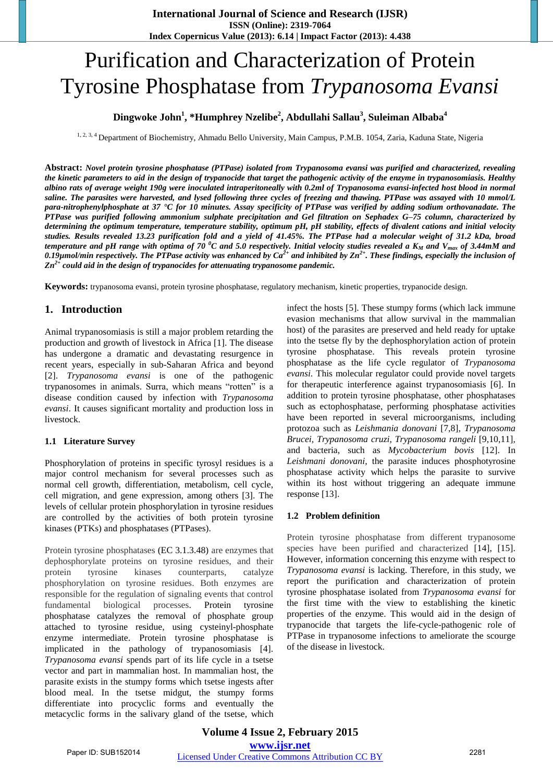# Purification and Characterization of Protein Tyrosine Phosphatase from *Trypanosoma Evansi*

# **Dingwoke John<sup>1</sup> , \*Humphrey Nzelibe<sup>2</sup> , Abdullahi Sallau<sup>3</sup> , Suleiman Albaba<sup>4</sup>**

1, 2, 3, 4 Department of Biochemistry, Ahmadu Bello University, Main Campus, P.M.B. 1054, Zaria, Kaduna State, Nigeria

**Abstract:** *Novel protein tyrosine phosphatase (PTPase) isolated from Trypanosoma evansi was purified and characterized, revealing the kinetic parameters to aid in the design of trypanocide that target the pathogenic activity of the enzyme in trypanosomiasis. Healthy albino rats of average weight 190g were inoculated intraperitoneally with 0.2ml of Trypanosoma evansi-infected host blood in normal saline. The parasites were harvested, and lysed following three cycles of freezing and thawing. PTPase was assayed with 10 mmol/L para-nitrophenylphosphate at 37 °C for 10 minutes. Assay specificity of PTPase was verified by adding sodium orthovanadate. The PTPase was purified following ammonium sulphate precipitation and Gel filtration on Sephadex G–75 column, characterized by determining the optimum temperature, temperature stability, optimum pH, pH stability, effects of divalent cations and initial velocity studies. Results revealed 13.23 purification fold and a yield of 41.45%. The PTPase had a molecular weight of 31.2 kDa, broad temperature and pH range with optima of 70 <sup>0</sup>C and 5.0 respectively. Initial velocity studies revealed a KM and Vmax of 3.44mM and 0.19µmol/min respectively. The PTPase activity was enhanced by Ca2+ and inhibited by Zn2+. These findings, especially the inclusion of Zn2+ could aid in the design of trypanocides for attenuating trypanosome pandemic.* 

**Keywords:** trypanosoma evansi, protein tyrosine phosphatase, regulatory mechanism, kinetic properties, trypanocide design.

#### **1. Introduction**

Animal trypanosomiasis is still a major problem retarding the production and growth of livestock in Africa [1]. The disease has undergone a dramatic and devastating resurgence in recent years, especially in sub-Saharan Africa and beyond [2]. *Trypanosoma evansi* is one of the pathogenic trypanosomes in animals. Surra, which means "rotten" is a disease condition caused by infection with *Trypanosoma evansi*. It causes significant mortality and production loss in livestock.

#### **1.1 Literature Survey**

Phosphorylation of proteins in specific tyrosyl residues is a major control mechanism for several processes such as normal cell growth, differentiation, metabolism, cell cycle, cell migration, and gene expression, among others [3]. The levels of cellular protein phosphorylation in tyrosine residues are controlled by the activities of both protein tyrosine kinases (PTKs) and phosphatases (PTPases).

Protein tyrosine phosphatases (EC 3.1.3.48) are enzymes that dephosphorylate proteins on tyrosine residues, and their protein tyrosine kinases counterparts, catalyze phosphorylation on tyrosine residues. Both enzymes are responsible for the regulation of signaling events that control fundamental biological processes. Protein tyrosine phosphatase catalyzes the removal of phosphate group attached to tyrosine residue, using cysteinyl-phosphate enzyme intermediate. Protein tyrosine phosphatase is implicated in the pathology of trypanosomiasis [4]. *Trypanosoma evansi* spends part of its life cycle in a tsetse vector and part in mammalian host. In mammalian host, the parasite exists in the stumpy forms which tsetse ingests after blood meal. In the tsetse midgut, the stumpy forms differentiate into procyclic forms and eventually the metacyclic forms in the salivary gland of the tsetse, which infect the hosts [5]. These stumpy forms (which lack immune evasion mechanisms that allow survival in the mammalian host) of the parasites are preserved and held ready for uptake into the tsetse fly by the dephosphorylation action of protein tyrosine phosphatase. This reveals protein tyrosine phosphatase as the life cycle regulator of *Trypanosoma evansi*. This molecular regulator could provide novel targets for therapeutic interference against trypanosomiasis [6]. In addition to protein tyrosine phosphatase, other phosphatases such as ectophosphatase, performing phosphatase activities have been reported in several microorganisms, including protozoa such as *Leishmania donovani* [7,8], *Trypanosoma Brucei, Trypanosoma cruzi, Trypanosoma rangeli* [9,10,11], and bacteria, such as *Mycobacterium bovis* [12]. In *Leishmani donovani,* the parasite induces phosphotyrosine phosphatase activity which helps the parasite to survive within its host without triggering an adequate immune response [13].

#### **1.2 Problem definition**

Protein tyrosine phosphatase from different trypanosome species have been purified and characterized [14], [15]. However, information concerning this enzyme with respect to *Trypanosoma evansi* is lacking. Therefore, in this study, we report the purification and characterization of protein tyrosine phosphatase isolated from *Trypanosoma evansi* for the first time with the view to establishing the kinetic properties of the enzyme. This would aid in the design of trypanocide that targets the life-cycle-pathogenic role of PTPase in trypanosome infections to ameliorate the scourge of the disease in livestock.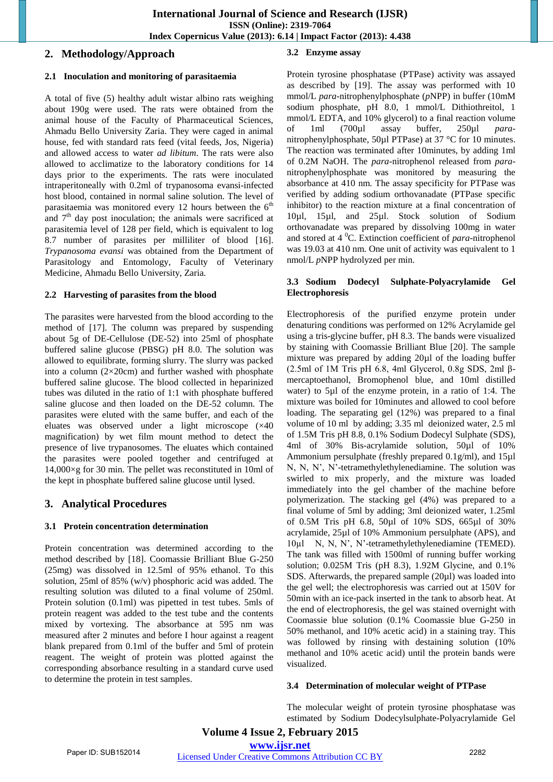# **2. Methodology/Approach**

#### **2.1 Inoculation and monitoring of parasitaemia**

A total of five (5) healthy adult wistar albino rats weighing about 190g were used. The rats were obtained from the animal house of the Faculty of Pharmaceutical Sciences, Ahmadu Bello University Zaria. They were caged in animal house, fed with standard rats feed (vital feeds, Jos, Nigeria) and allowed access to water *ad libitum*. The rats were also allowed to acclimatize to the laboratory conditions for 14 days prior to the experiments. The rats were inoculated intraperitoneally with 0.2ml of trypanosoma evansi-infected host blood, contained in normal saline solution. The level of parasitaemia was monitored every 12 hours between the  $6<sup>th</sup>$ and  $7<sup>th</sup>$  day post inoculation; the animals were sacrificed at parasitemia level of 128 per field, which is equivalent to log 8.7 number of parasites per milliliter of blood [16]. *Trypanosoma evansi* was obtained from the Department of Parasitology and Entomology, Faculty of Veterinary Medicine, Ahmadu Bello University, Zaria.

#### **2.2 Harvesting of parasites from the blood**

The parasites were harvested from the blood according to the method of [17]. The column was prepared by suspending about 5g of DE-Cellulose (DE-52) into 25ml of phosphate buffered saline glucose (PBSG) pH 8.0. The solution was allowed to equilibrate, forming slurry. The slurry was packed into a column  $(2\times20cm)$  and further washed with phosphate buffered saline glucose. The blood collected in heparinized tubes was diluted in the ratio of 1:1 with phosphate buffered saline glucose and then loaded on the DE-52 column. The parasites were eluted with the same buffer, and each of the eluates was observed under a light microscope (×40 magnification) by wet film mount method to detect the presence of live trypanosomes. The eluates which contained the parasites were pooled together and centrifuged at 14,000×g for 30 min. The pellet was reconstituted in 10ml of the kept in phosphate buffered saline glucose until lysed.

# **3. Analytical Procedures**

#### **3.1 Protein concentration determination**

Protein concentration was determined according to the method described by [18]. Coomassie Brilliant Blue G-250 (25mg) was dissolved in 12.5ml of 95% ethanol. To this solution, 25ml of 85% (w/v) phosphoric acid was added. The resulting solution was diluted to a final volume of 250ml. Protein solution (0.1ml) was pipetted in test tubes. 5mls of protein reagent was added to the test tube and the contents mixed by vortexing. The absorbance at 595 nm was measured after 2 minutes and before I hour against a reagent blank prepared from 0.1ml of the buffer and 5ml of protein reagent. The weight of protein was plotted against the corresponding absorbance resulting in a standard curve used to determine the protein in test samples.

# **3.2 Enzyme assay**

Protein tyrosine phosphatase (PTPase) activity was assayed as described by [19]. The assay was performed with 10 mmol/L *para*-nitrophenylphosphate (*p*NPP) in buffer (10mM sodium phosphate, pH 8.0, 1 mmol/L Dithiothreitol, 1 mmol/L EDTA, and 10% glycerol) to a final reaction volume of 1ml (700µl assay buffer, 250µl *para*nitrophenylphosphate, 50µl PTPase) at 37 °C for 10 minutes. The reaction was terminated after 10minutes, by adding 1ml of 0.2M NaOH. The *para*-nitrophenol released from *para*nitrophenylphosphate was monitored by measuring the absorbance at 410 nm. The assay specificity for PTPase was verified by adding sodium orthovanadate (PTPase specific inhibitor) to the reaction mixture at a final concentration of 10µl, 15µl, and 25µl. Stock solution of Sodium orthovanadate was prepared by dissolving 100mg in water and stored at 4 <sup>0</sup>C. Extinction coefficient of *para*-nitrophenol was 19.03 at 410 nm. One unit of activity was equivalent to 1 nmol/L *p*NPP hydrolyzed per min.

#### **3.3 Sodium Dodecyl Sulphate-Polyacrylamide Gel Electrophoresis**

Electrophoresis of the purified enzyme protein under denaturing conditions was performed on 12% Acrylamide gel using a tris-glycine buffer, pH 8.3. The bands were visualized by staining with Coomassie Brilliant Blue [20]. The sample mixture was prepared by adding 20µl of the loading buffer (2.5ml of 1M Tris pH 6.8, 4ml Glycerol, 0.8g SDS, 2ml βmercaptoethanol, Bromophenol blue, and 10ml distilled water) to 5µl of the enzyme protein, in a ratio of 1:4. The mixture was boiled for 10minutes and allowed to cool before loading. The separating gel (12%) was prepared to a final volume of 10 ml by adding; 3.35 ml deionized water, 2.5 ml of 1.5M Tris pH 8.8, 0.1% Sodium Dodecyl Sulphate (SDS), 4ml of 30% Bis-acrylamide solution, 50µl of 10% Ammonium persulphate (freshly prepared 0.1g/ml), and 15µl N, N, N', N'-tetramethylethylenediamine. The solution was swirled to mix properly, and the mixture was loaded immediately into the gel chamber of the machine before polymerization. The stacking gel (4%) was prepared to a final volume of 5ml by adding; 3ml deionized water, 1.25ml of 0.5M Tris pH 6.8, 50µl of 10% SDS, 665µl of 30% acrylamide, 25µl of 10% Ammonium persulphate (APS), and 10µl N, N, N', N'-tetramethylethylenediamine (TEMED). The tank was filled with 1500ml of running buffer working solution; 0.025M Tris (pH 8.3), 1.92M Glycine, and 0.1% SDS. Afterwards, the prepared sample (20µl) was loaded into the gel well; the electrophoresis was carried out at 150V for 50min with an ice-pack inserted in the tank to absorb heat. At the end of electrophoresis, the gel was stained overnight with Coomassie blue solution (0.1% Coomassie blue G-250 in 50% methanol, and 10% acetic acid) in a staining tray. This was followed by rinsing with destaining solution (10% methanol and 10% acetic acid) until the protein bands were visualized.

#### **3.4 Determination of molecular weight of PTPase**

The molecular weight of protein tyrosine phosphatase was estimated by Sodium Dodecylsulphate-Polyacrylamide Gel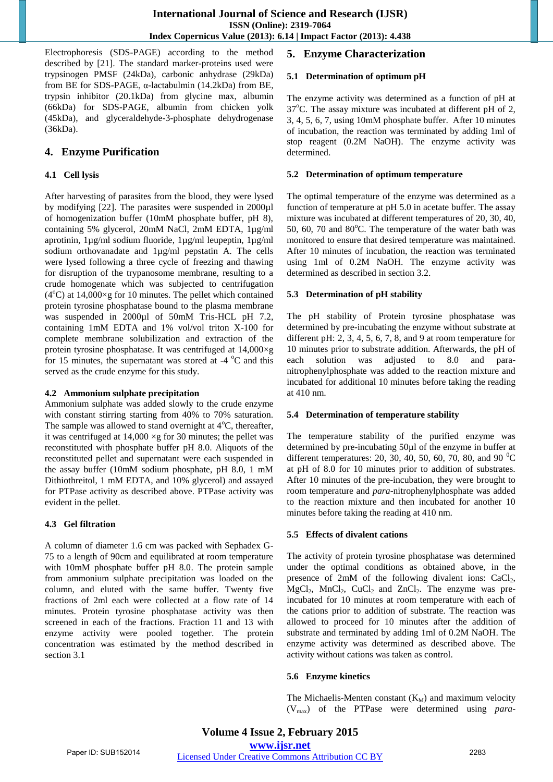Electrophoresis (SDS-PAGE) according to the method described by [21]. The standard marker-proteins used were trypsinogen PMSF (24kDa), carbonic anhydrase (29kDa) from BE for SDS-PAGE, α-lactabulmin (14.2kDa) from BE, trypsin inhibitor (20.1kDa) from glycine max, albumin (66kDa) for SDS-PAGE, albumin from chicken yolk (45kDa), and glyceraldehyde-3-phosphate dehydrogenase (36kDa).

# **4. Enzyme Purification**

#### **4.1 Cell lysis**

After harvesting of parasites from the blood, they were lysed by modifying [22]. The parasites were suspended in 2000µl of homogenization buffer (10mM phosphate buffer, pH 8), containing 5% glycerol, 20mM NaCl, 2mM EDTA, 1µg/ml aprotinin, 1µg/ml sodium fluoride, 1µg/ml leupeptin, 1µg/ml sodium orthovanadate and 1µg/ml pepstatin A. The cells were lysed following a three cycle of freezing and thawing for disruption of the trypanosome membrane, resulting to a crude homogenate which was subjected to centrifugation  $(4^{\circ}$ C) at 14,000×g for 10 minutes. The pellet which contained protein tyrosine phosphatase bound to the plasma membrane was suspended in 2000µl of 50mM Tris-HCL pH 7.2, containing 1mM EDTA and 1% vol/vol triton X-100 for complete membrane solubilization and extraction of the protein tyrosine phosphatase. It was centrifuged at 14,000×g for 15 minutes, the supernatant was stored at -4  $^{\circ}$ C and this served as the crude enzyme for this study.

#### **4.2 Ammonium sulphate precipitation**

Ammonium sulphate was added slowly to the crude enzyme with constant stirring starting from 40% to 70% saturation. The sample was allowed to stand overnight at  $4^{\circ}$ C, thereafter, it was centrifuged at  $14,000 \times g$  for 30 minutes; the pellet was reconstituted with phosphate buffer pH 8.0. Aliquots of the reconstituted pellet and supernatant were each suspended in the assay buffer (10mM sodium phosphate, pH 8.0, 1 mM Dithiothreitol, 1 mM EDTA, and 10% glycerol) and assayed for PTPase activity as described above. PTPase activity was evident in the pellet.

#### **4.3 Gel filtration**

A column of diameter 1.6 cm was packed with Sephadex G-75 to a length of 90cm and equilibrated at room temperature with 10mM phosphate buffer pH 8.0. The protein sample from ammonium sulphate precipitation was loaded on the column, and eluted with the same buffer. Twenty five fractions of 2ml each were collected at a flow rate of 14 minutes. Protein tyrosine phosphatase activity was then screened in each of the fractions. Fraction 11 and 13 with enzyme activity were pooled together. The protein concentration was estimated by the method described in section 3.1

# **5. Enzyme Characterization**

#### **5.1 Determination of optimum pH**

The enzyme activity was determined as a function of pH at  $37^{\circ}$ C. The assay mixture was incubated at different pH of 2, 3, 4, 5, 6, 7, using 10mM phosphate buffer. After 10 minutes of incubation, the reaction was terminated by adding 1ml of stop reagent (0.2M NaOH). The enzyme activity was determined.

#### **5.2 Determination of optimum temperature**

The optimal temperature of the enzyme was determined as a function of temperature at pH 5.0 in acetate buffer. The assay mixture was incubated at different temperatures of 20, 30, 40, 50, 60, 70 and  $80^{\circ}$ C. The temperature of the water bath was monitored to ensure that desired temperature was maintained. After 10 minutes of incubation, the reaction was terminated using 1ml of 0.2M NaOH. The enzyme activity was determined as described in section 3.2.

#### **5.3 Determination of pH stability**

The pH stability of Protein tyrosine phosphatase was determined by pre-incubating the enzyme without substrate at different pH: 2, 3, 4, 5, 6, 7, 8, and 9 at room temperature for 10 minutes prior to substrate addition. Afterwards, the pH of each solution was adjusted to 8.0 and paranitrophenylphosphate was added to the reaction mixture and incubated for additional 10 minutes before taking the reading at 410 nm.

#### **5.4 Determination of temperature stability**

The temperature stability of the purified enzyme was determined by pre-incubating 50µl of the enzyme in buffer at different temperatures: 20, 30, 40, 50, 60, 70, 80, and 90  $^{\circ}$ C at pH of 8.0 for 10 minutes prior to addition of substrates. After 10 minutes of the pre-incubation, they were brought to room temperature and *para*-nitrophenylphosphate was added to the reaction mixture and then incubated for another 10 minutes before taking the reading at 410 nm.

#### **5.5 Effects of divalent cations**

The activity of protein tyrosine phosphatase was determined under the optimal conditions as obtained above, in the presence of  $2mM$  of the following divalent ions:  $CaCl<sub>2</sub>$ ,  $MgCl<sub>2</sub>$ ,  $MnCl<sub>2</sub>$ ,  $CuCl<sub>2</sub>$  and  $ZnCl<sub>2</sub>$ . The enzyme was preincubated for 10 minutes at room temperature with each of the cations prior to addition of substrate. The reaction was allowed to proceed for 10 minutes after the addition of substrate and terminated by adding 1ml of 0.2M NaOH. The enzyme activity was determined as described above. The activity without cations was taken as control.

#### **5.6 Enzyme kinetics**

The Michaelis-Menten constant  $(K_M)$  and maximum velocity (Vmax) of the PTPase were determined using *para*-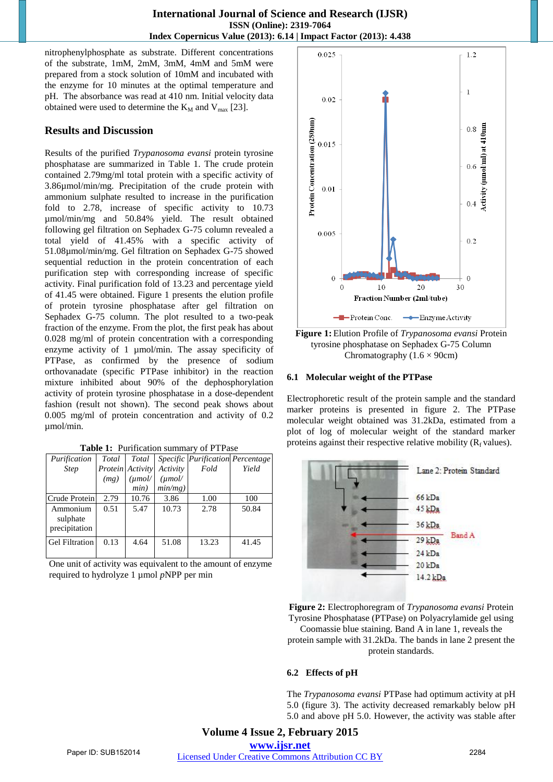nitrophenylphosphate as substrate. Different concentrations of the substrate, 1mM, 2mM, 3mM, 4mM and 5mM were prepared from a stock solution of 10mM and incubated with the enzyme for 10 minutes at the optimal temperature and pH. The absorbance was read at 410 nm. Initial velocity data obtained were used to determine the  $K_M$  and  $V_{max}$  [23].

# **Results and Discussion**

Results of the purified *Trypanosoma evansi* protein tyrosine phosphatase are summarized in Table 1. The crude protein contained 2.79mg/ml total protein with a specific activity of 3.86µmol/min/mg. Precipitation of the crude protein with ammonium sulphate resulted to increase in the purification fold to 2.78, increase of specific activity to 10.73 µmol/min/mg and 50.84% yield. The result obtained following gel filtration on Sephadex G-75 column revealed a total yield of 41.45% with a specific activity of 51.08µmol/min/mg. Gel filtration on Sephadex G-75 showed sequential reduction in the protein concentration of each purification step with corresponding increase of specific activity. Final purification fold of 13.23 and percentage yield of 41.45 were obtained. Figure 1 presents the elution profile of protein tyrosine phosphatase after gel filtration on Sephadex G-75 column. The plot resulted to a two-peak fraction of the enzyme. From the plot, the first peak has about 0.028 mg/ml of protein concentration with a corresponding enzyme activity of 1 µmol/min. The assay specificity of PTPase, as confirmed by the presence of sodium orthovanadate (specific PTPase inhibitor) in the reaction mixture inhibited about 90% of the dephosphorylation activity of protein tyrosine phosphatase in a dose-dependent fashion (result not shown). The second peak shows about 0.005 mg/ml of protein concentration and activity of 0.2 umol/min.

| Table 1: Purification summary of PTPase |  |
|-----------------------------------------|--|
|                                         |  |

| Purification                          | Total | Total            |            |       | Specific Purification Percentage |
|---------------------------------------|-------|------------------|------------|-------|----------------------------------|
| <b>Step</b>                           |       | Protein Activity | Activity   | Fold  | Yield                            |
|                                       | (mg)  | $(\mu mol$       | $(\mu mol$ |       |                                  |
|                                       |       | min)             | $min/mg$ ) |       |                                  |
| Crude Protein                         | 2.79  | 10.76            | 3.86       | 1.00  | 100                              |
| Ammonium<br>sulphate<br>precipitation | 0.51  | 5.47             | 10.73      | 2.78  | 50.84                            |
| <b>Gel Filtration</b>                 | 0.13  | 4.64             | 51.08      | 13.23 | 41.45                            |

One unit of activity was equivalent to the amount of enzyme required to hydrolyze 1 µmol *p*NPP per min



**Figure 1:** Elution Profile of *Trypanosoma evansi* Protein tyrosine phosphatase on Sephadex G-75 Column Chromatography  $(1.6 \times 90$ cm)

#### **6.1 Molecular weight of the PTPase**

Electrophoretic result of the protein sample and the standard marker proteins is presented in figure 2. The PTPase molecular weight obtained was 31.2kDa, estimated from a plot of log of molecular weight of the standard marker proteins against their respective relative mobility  $(R_f$  values).



**Figure 2:** Electrophoregram of *Trypanosoma evansi* Protein Tyrosine Phosphatase (PTPase) on Polyacrylamide gel using

Coomassie blue staining. Band A in lane 1, reveals the protein sample with 31.2kDa. The bands in lane 2 present the protein standards.

#### **6.2 Effects of pH**

The *Trypanosoma evansi* PTPase had optimum activity at pH 5.0 (figure 3). The activity decreased remarkably below pH 5.0 and above pH 5.0. However, the activity was stable after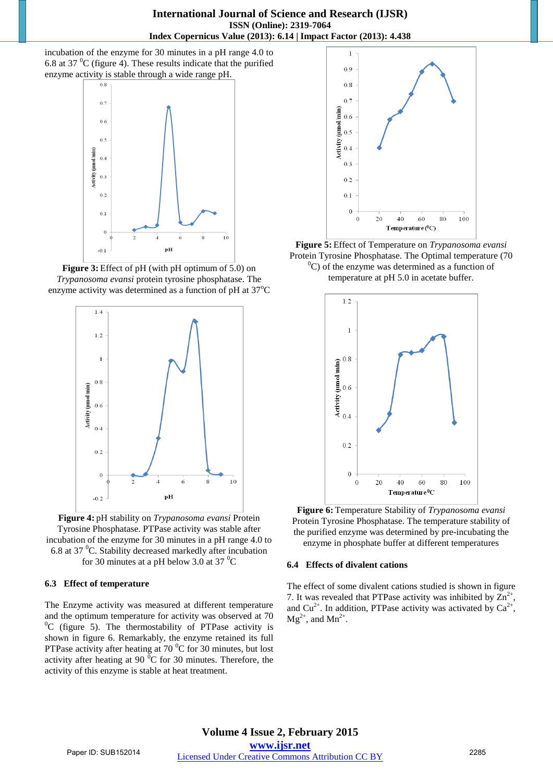incubation of the enzyme for 30 minutes in a pH range 4.0 to 6.8 at 37 $\mathrm{^{0}C}$  (figure 4). These results indicate that the purified enzyme activity is stable through a wide range pH.



**Figure 3:** Effect of pH (with pH optimum of 5.0) on *Trypanosoma evansi* protein tyrosine phosphatase. The enzyme activity was determined as a function of pH at  $37^{\circ}$ C



**Figure 4:** pH stability on *Trypanosoma evansi* Protein Tyrosine Phosphatase. PTPase activity was stable after incubation of the enzyme for 30 minutes in a pH range 4.0 to 6.8 at 37 $\mathrm{^0C}$ . Stability decreased markedly after incubation for 30 minutes at a pH below 3.0 at 37 $\mathrm{^0C}$ 

#### **6.3 Effect of temperature**

The Enzyme activity was measured at different temperature and the optimum temperature for activity was observed at 70  ${}^{0}C$  (figure 5). The thermostability of PTPase activity is shown in figure 6. Remarkably, the enzyme retained its full PTPase activity after heating at  $70<sup>0</sup>C$  for 30 minutes, but lost activity after heating at 90 $\mathrm{^{0}C}$  for 30 minutes. Therefore, the activity of this enzyme is stable at heat treatment.



**Figure 5:** Effect of Temperature on *Trypanosoma evansi* Protein Tyrosine Phosphatase. The Optimal temperature (70  $^{0}$ C) of the enzyme was determined as a function of temperature at pH 5.0 in acetate buffer.



**Figure 6:** Temperature Stability of *Trypanosoma evansi* Protein Tyrosine Phosphatase. The temperature stability of the purified enzyme was determined by pre-incubating the enzyme in phosphate buffer at different temperatures

#### **6.4 Effects of divalent cations**

The effect of some divalent cations studied is shown in figure 7. It was revealed that PTPase activity was inhibited by  $\overline{Zn}^{2+}$ , and Cu<sup>2+</sup>. In addition, PTPase activity was activated by  $Ca^{2+}$ ,  $Mg^{2+}$ , and  $Mn^{2+}$ .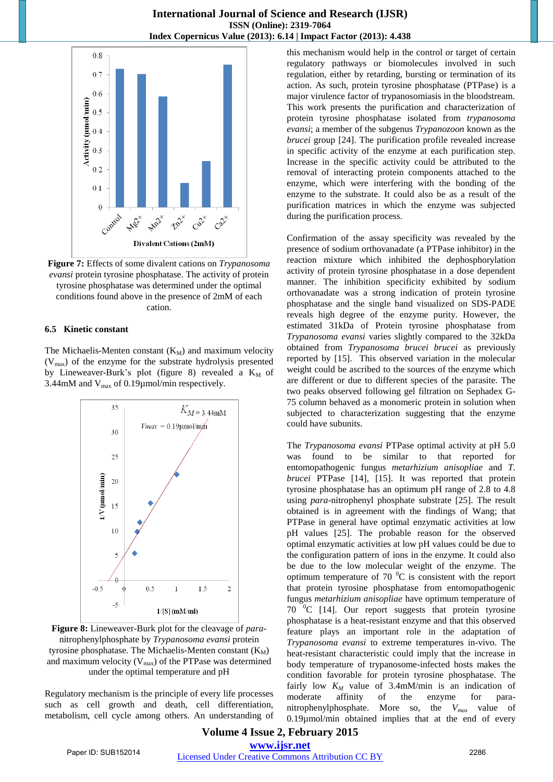



#### **6.5 Kinetic constant**

The Michaelis-Menten constant  $(K_M)$  and maximum velocity  $(V<sub>max</sub>)$  of the enzyme for the substrate hydrolysis presented by Lineweaver-Burk's plot (figure 8) revealed a  $K_M$  of 3.44mM and  $V_{max}$  of 0.19 $\mu$ mol/min respectively.



**Figure 8:** Lineweaver-Burk plot for the cleavage of *para*nitrophenylphosphate by *Trypanosoma evansi* protein tyrosine phosphatase. The Michaelis-Menten constant  $(K_M)$ and maximum velocity  $(V_{max})$  of the PTPase was determined under the optimal temperature and pH

Regulatory mechanism is the principle of every life processes such as cell growth and death, cell differentiation, metabolism, cell cycle among others. An understanding of this mechanism would help in the control or target of certain regulatory pathways or biomolecules involved in such regulation, either by retarding, bursting or termination of its action. As such, protein tyrosine phosphatase (PTPase) is a major virulence factor of trypanosomiasis in the bloodstream. This work presents the purification and characterization of protein tyrosine phosphatase isolated from *trypanosoma evansi*; a member of the subgenus *Trypanozoon* known as the *brucei* group [24]. The purification profile revealed increase in specific activity of the enzyme at each purification step. Increase in the specific activity could be attributed to the removal of interacting protein components attached to the enzyme, which were interfering with the bonding of the enzyme to the substrate. It could also be as a result of the purification matrices in which the enzyme was subjected during the purification process.

Confirmation of the assay specificity was revealed by the presence of sodium orthovanadate (a PTPase inhibitor) in the reaction mixture which inhibited the dephosphorylation activity of protein tyrosine phosphatase in a dose dependent manner. The inhibition specificity exhibited by sodium orthovanadate was a strong indication of protein tyrosine phosphatase and the single band visualized on SDS-PADE reveals high degree of the enzyme purity. However, the estimated 31kDa of Protein tyrosine phosphatase from *Trypanosoma evansi* varies slightly compared to the 32kDa obtained from *Trypanosoma brucei brucei* as previously reported by [15]. This observed variation in the molecular weight could be ascribed to the sources of the enzyme which are different or due to different species of the parasite. The two peaks observed following gel filtration on Sephadex G-75 column behaved as a monomeric protein in solution when subjected to characterization suggesting that the enzyme could have subunits.

The *Trypanosoma evansi* PTPase optimal activity at pH 5.0 was found to be similar to that reported for entomopathogenic fungus *metarhizium anisopliae* and *T. brucei* PTPase [14], [15]. It was reported that protein tyrosine phosphatase has an optimum pH range of 2.8 to 4.8 using *para*-nitrophenyl phosphate substrate [25]. The result obtained is in agreement with the findings of Wang; that PTPase in general have optimal enzymatic activities at low pH values [25]. The probable reason for the observed optimal enzymatic activities at low pH values could be due to the configuration pattern of ions in the enzyme. It could also be due to the low molecular weight of the enzyme. The optimum temperature of 70 $\mathrm{^{0}C}$  is consistent with the report that protein tyrosine phosphatase from entomopathogenic fungus *metarhizium anisopliae* have optimum temperature of 70  $\mathrm{^0C}$  [14]. Our report suggests that protein tyrosine phosphatase is a heat-resistant enzyme and that this observed feature plays an important role in the adaptation of *Trypanosoma evansi* to extreme temperatures in-vivo. The heat-resistant characteristic could imply that the increase in body temperature of trypanosome-infected hosts makes the condition favorable for protein tyrosine phosphatase. The fairly low  $K_M$  value of 3.4mM/min is an indication of moderate affinity of the enzyme for paranitrophenylphosphate. More so, the *Vmax* value of 0.19µmol/min obtained implies that at the end of every

# **Volume 4 Issue 2, February 2015 www.ijsr.net**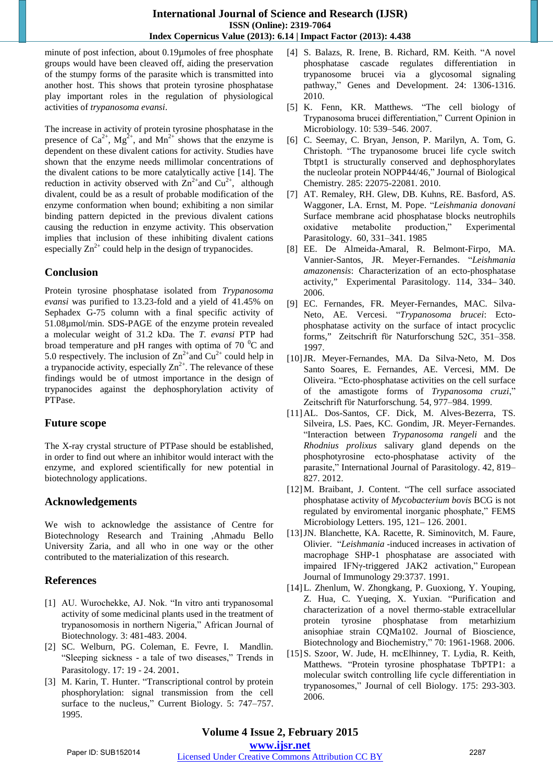minute of post infection, about 0.19µmoles of free phosphate groups would have been cleaved off, aiding the preservation of the stumpy forms of the parasite which is transmitted into another host. This shows that protein tyrosine phosphatase play important roles in the regulation of physiological activities of *trypanosoma evansi*.

The increase in activity of protein tyrosine phosphatase in the presence of  $Ca^{2+}$ ,  $Mg^{2+}$ , and  $Mn^{2+}$  shows that the enzyme is dependent on these divalent cations for activity. Studies have shown that the enzyme needs millimolar concentrations of the divalent cations to be more catalytically active [14]. The reduction in activity observed with  $\text{Zn}^{2+}$  and  $\text{Cu}^{2+}$ , although divalent, could be as a result of probable modification of the enzyme conformation when bound; exhibiting a non similar binding pattern depicted in the previous divalent cations causing the reduction in enzyme activity. This observation implies that inclusion of these inhibiting divalent cations especially  $\text{Zn}^{2+}$  could help in the design of trypanocides.

# **Conclusion**

Protein tyrosine phosphatase isolated from *Trypanosoma evansi* was purified to 13.23-fold and a yield of 41.45% on Sephadex G-75 column with a final specific activity of 51.08µmol/min. SDS-PAGE of the enzyme protein revealed a molecular weight of 31.2 kDa. The *T. evansi* PTP had broad temperature and pH ranges with optima of 70 $\mathrm{^{0}C}$  and 5.0 respectively. The inclusion of  $\text{Zn}^{2+}$  and  $\text{Cu}^{2+}$  could help in a trypanocide activity, especially  $\text{Zn}^{2+}$ . The relevance of these findings would be of utmost importance in the design of trypanocides against the dephosphorylation activity of PTPase.

# **Future scope**

The X-ray crystal structure of PTPase should be established, in order to find out where an inhibitor would interact with the enzyme, and explored scientifically for new potential in biotechnology applications.

# **Acknowledgements**

We wish to acknowledge the assistance of Centre for Biotechnology Research and Training ,Ahmadu Bello University Zaria, and all who in one way or the other contributed to the materialization of this research.

# **References**

- [1] AU. Wurochekke, AJ. Nok. "In vitro anti trypanosomal activity of some medicinal plants used in the treatment of trypanosomosis in northern Nigeria," African Journal of Biotechnology*.* 3: 481-483. 2004.
- [2] SC. Welburn, PG. Coleman, E. Fevre, I. Mandlin. "Sleeping sickness - a tale of two diseases," Trends in Parasitology. 17: 19 - 24. 2001.
- [3] M. Karin, T. Hunter. "Transcriptional control by protein phosphorylation: signal transmission from the cell surface to the nucleus," Current Biology. 5: 747–757. 1995.
- [4] S. Balazs, R. Irene, B. Richard, RM. Keith. "A novel phosphatase cascade regulates differentiation in trypanosome brucei via a glycosomal signaling pathway," Genes and Development. 24: 1306-1316. 2010.
- [5] K. Fenn, KR. Matthews. "The cell biology of Trypanosoma brucei differentiation," Current Opinion in Microbiology. 10: 539–546. 2007.
- [6] C. Seemay, C. Bryan, Jenson, P. Marilyn, A. Tom, G. Christoph. "The trypanosome brucei life cycle switch Tbtpt1 is structurally conserved and dephosphorylates the nucleolar protein NOPP44/46," Journal of Biological Chemistry*.* 285: 22075-22081. 2010.
- [7] AT. Remaley, RH. Glew, DB. Kuhns, RE. Basford, AS. Waggoner, LA. Ernst, M. Pope. "*Leishmania donovani* Surface membrane acid phosphatase blocks neutrophils oxidative metabolite production," Experimental Parasitology. 60, 331–341. 1985
- [8] EE. De Almeida-Amaral, R. Belmont-Firpo, MA. Vannier-Santos, JR. Meyer-Fernandes. "*Leishmania amazonensis*: Characterization of an ecto-phosphatase activity," Experimental Parasitology. 114, 334– 340. 2006.
- [9] EC. Fernandes, FR. Meyer-Fernandes, MAC. Silva-Neto, AE. Vercesi. "*Trypanosoma brucei*: Ectophosphatase activity on the surface of intact procyclic forms," Zeitschrift fϋr Naturforschung 52C, 351–358. 1997.
- [10]JR. Meyer-Fernandes, MA. Da Silva-Neto, M. Dos Santo Soares, E. Fernandes, AE. Vercesi, MM. De Oliveira. "Ecto-phosphatase activities on the cell surface of the amastigote forms of *Trypanosoma cruzi*," Zeitschrift fϋr Naturforschung*.* 54, 977–984. 1999.
- [11]AL. Dos-Santos, CF. Dick, M. Alves-Bezerra, TS. Silveira, LS. Paes, KC. Gondim, JR. Meyer-Fernandes. "Interaction between *Trypanosoma rangeli* and the *Rhodnius prolixus* salivary gland depends on the phosphotyrosine ecto-phosphatase activity of the parasite," International Journal of Parasitology. 42, 819– 827. 2012.
- [12]M. Braibant, J. Content. "The cell surface associated phosphatase activity of *Mycobacterium bovis* BCG is not regulated by enviromental inorganic phosphate," FEMS Microbiology Letters. 195, 121– 126. 2001.
- [13]JN. Blanchette, KA. Racette, R. Siminovitch, M. Faure, Olivier. "*Leishmania* -induced increases in activation of macrophage SHP-1 phosphatase are associated with impaired IFNγ-triggered JAK2 activation," European Journal of Immunology 29:3737. 1991.
- [14]L. Zhenlum, W. Zhongkang, P. Guoxiong, Y. Youping, Z. Hua, C. Yueqing, X. Yuxian. "Purification and characterization of a novel thermo-stable extracellular protein tyrosine phosphatase from metarhizium anisophiae strain CQMa102. Journal of Bioscience, Biotechnology and Biochemistry," 70: 1961-1968. 2006.
- [15]S. Szoor, W. Jude, H. mcElhinney, T. Lydia, R. Keith, Matthews. "Protein tyrosine phosphatase TbPTP1: a molecular switch controlling life cycle differentiation in trypanosomes," Journal of cell Biology. 175: 293-303. 2006.